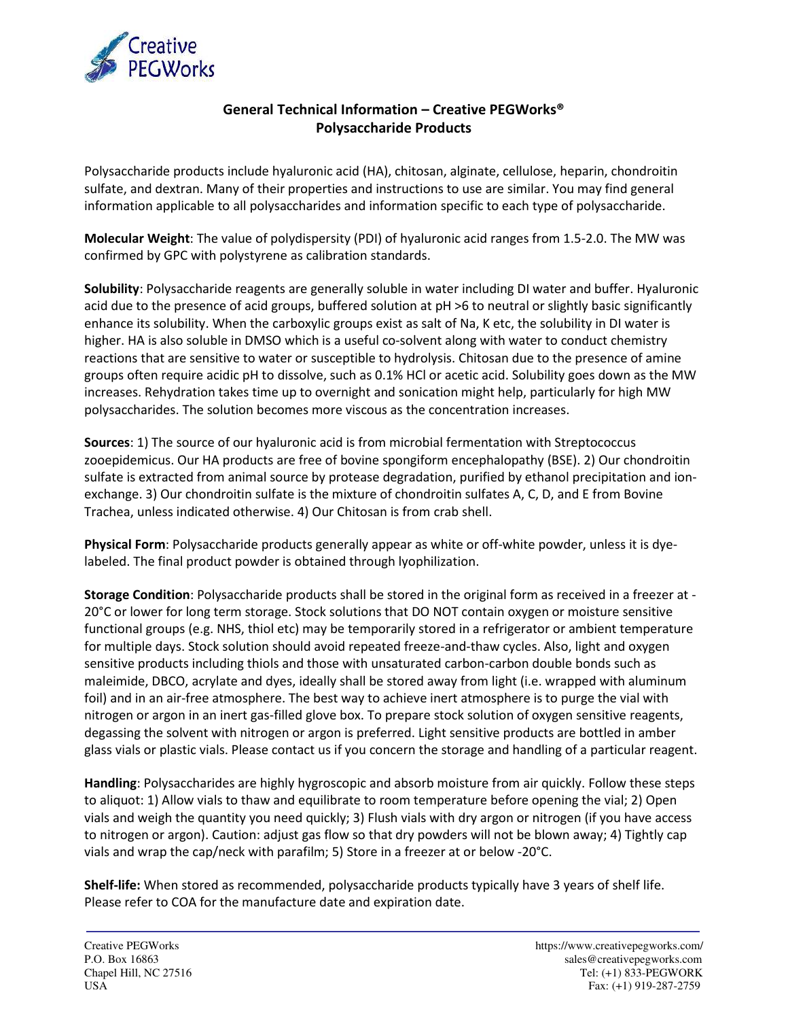

## **General Technical Information – Creative PEGWorks® Polysaccharide Products**

Polysaccharide products include hyaluronic acid (HA), chitosan, alginate, cellulose, heparin, chondroitin sulfate, and dextran. Many of their properties and instructions to use are similar. You may find general information applicable to all polysaccharides and information specific to each type of polysaccharide.

**Molecular Weight**: The value of polydispersity (PDI) of hyaluronic acid ranges from 1.5-2.0. The MW was confirmed by GPC with polystyrene as calibration standards.

**Solubility**: Polysaccharide reagents are generally soluble in water including DI water and buffer. Hyaluronic acid due to the presence of acid groups, buffered solution at pH >6 to neutral or slightly basic significantly enhance its solubility. When the carboxylic groups exist as salt of Na, K etc, the solubility in DI water is higher. HA is also soluble in DMSO which is a useful co-solvent along with water to conduct chemistry reactions that are sensitive to water or susceptible to hydrolysis. Chitosan due to the presence of amine groups often require acidic pH to dissolve, such as 0.1% HCl or acetic acid. Solubility goes down as the MW increases. Rehydration takes time up to overnight and sonication might help, particularly for high MW polysaccharides. The solution becomes more viscous as the concentration increases.

**Sources**: 1) The source of our hyaluronic acid is from microbial fermentation with Streptococcus zooepidemicus. Our HA products are free of bovine spongiform encephalopathy (BSE). 2) Our chondroitin sulfate is extracted from animal source by protease degradation, purified by ethanol precipitation and ionexchange. 3) Our chondroitin sulfate is the mixture of chondroitin sulfates A, C, D, and E from Bovine Trachea, unless indicated otherwise. 4) Our Chitosan is from crab shell.

**Physical Form**: Polysaccharide products generally appear as white or off-white powder, unless it is dyelabeled. The final product powder is obtained through lyophilization.

**Storage Condition**: Polysaccharide products shall be stored in the original form as received in a freezer at - 20°C or lower for long term storage. Stock solutions that DO NOT contain oxygen or moisture sensitive functional groups (e.g. NHS, thiol etc) may be temporarily stored in a refrigerator or ambient temperature for multiple days. Stock solution should avoid repeated freeze-and-thaw cycles. Also, light and oxygen sensitive products including thiols and those with unsaturated carbon-carbon double bonds such as maleimide, DBCO, acrylate and dyes, ideally shall be stored away from light (i.e. wrapped with aluminum foil) and in an air-free atmosphere. The best way to achieve inert atmosphere is to purge the vial with nitrogen or argon in an inert gas-filled glove box. To prepare stock solution of oxygen sensitive reagents, degassing the solvent with nitrogen or argon is preferred. Light sensitive products are bottled in amber glass vials or plastic vials. Please contact us if you concern the storage and handling of a particular reagent.

**Handling**: Polysaccharides are highly hygroscopic and absorb moisture from air quickly. Follow these steps to aliquot: 1) Allow vials to thaw and equilibrate to room temperature before opening the vial; 2) Open vials and weigh the quantity you need quickly; 3) Flush vials with dry argon or nitrogen (if you have access to nitrogen or argon). Caution: adjust gas flow so that dry powders will not be blown away; 4) Tightly cap vials and wrap the cap/neck with parafilm; 5) Store in a freezer at or below -20°C.

**Shelf-life:** When stored as recommended, polysaccharide products typically have 3 years of shelf life. Please refer to COA for the manufacture date and expiration date.

ĺ.